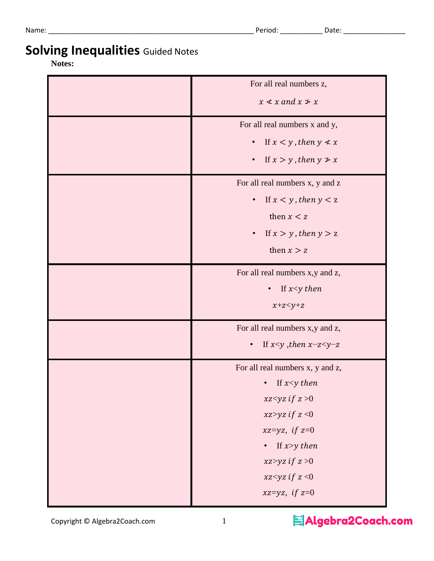Name: \_\_\_\_\_\_\_\_\_\_\_\_\_\_\_\_\_\_\_\_\_\_\_\_\_\_\_\_\_\_\_\_\_\_\_\_\_\_\_\_\_\_\_\_\_\_\_\_\_\_\_\_\_ Period: \_\_\_\_\_\_\_\_\_\_\_ Date: \_\_\_\_\_\_\_\_\_\_\_\_\_\_\_\_

# **Solving Inequalities** Guided Notes

#### **Notes:**

| For all real numbers z,                    |
|--------------------------------------------|
| $x \nless x$ and $x \nless x$              |
| For all real numbers x and y,              |
| If $x < y$ , then $y \neq x$<br>$\bullet$  |
| If $x > y$ , then $y \neq x$<br>$\bullet$  |
| For all real numbers x, y and z            |
| If $x < y$ , then $y < z$<br>$\bullet$     |
| then $x < z$                               |
| If $x > y$ , then $y > z$<br>$\bullet$     |
| then $x > z$                               |
| For all real numbers x,y and z,            |
| If $x < y$ then<br>$\bullet$               |
| $x+z < y+z$                                |
| For all real numbers x,y and z,            |
| If $x < y$ , then $x-z < y-z$<br>$\bullet$ |
| For all real numbers x, y and z,           |
| If $x < y$ then                            |
| xz <yz <math="" if="">z &gt; 0</yz>        |
| xz>yz if $z < 0$                           |
| xz=yz, if $z=0$                            |
| If $x>y$ then<br>$\bullet$                 |
| xz>yz if $z > 0$                           |
| xz <yz <math="" if="">z &lt; 0</yz>        |
| xz=yz, if $z=0$                            |

Copyright © Algebra2Coach.com 1